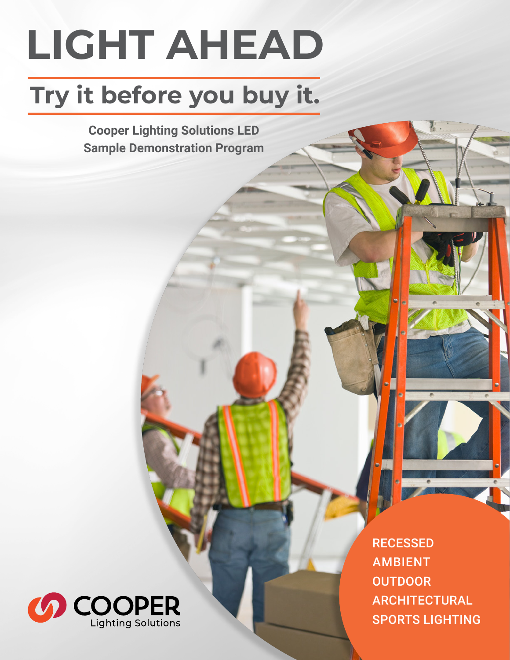# **LIGHT AHEAD**

## **Try it before you buy it.**

**Cooper Lighting Solutions LED Sample Demonstration Program**



**RECESSED** AMBIENT **OUTDOOR** ARCHITECTURAL SPORTS LIGHTING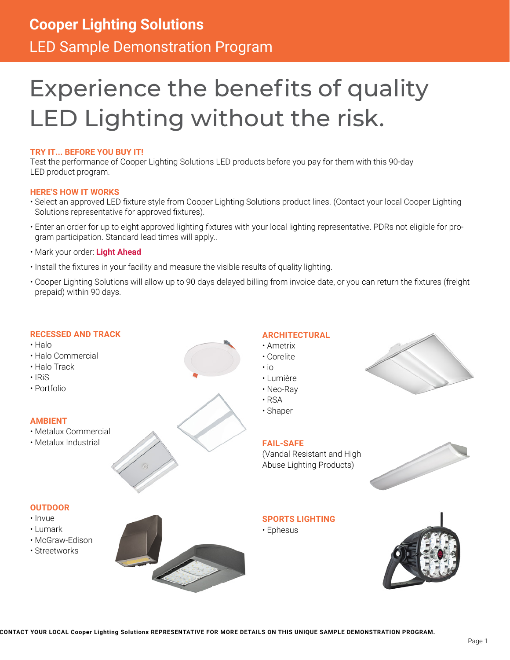### **Cooper Lighting Solutions** LED Sample Demonstration Program

### Experience the benefits of quality LED Lighting without the risk.

### **TRY IT... BEFORE YOU BUY IT!**

Test the performance of Cooper Lighting Solutions LED products before you pay for them with this 90-day LED product program.

### **HERE'S HOW IT WORKS**

- Select an approved LED fixture style from Cooper Lighting Solutions product lines. (Contact your local Cooper Lighting Solutions representative for approved fixtures).
- Enter an order for up to eight approved lighting fixtures with your local lighting representative. PDRs not eligible for program participation. Standard lead times will apply..
- Mark your order: **Light Ahead**
- Install the fixtures in your facility and measure the visible results of quality lighting.
- Cooper Lighting Solutions will allow up to 90 days delayed billing from invoice date, or you can return the fixtures (freight prepaid) within 90 days.

### **RECESSED AND TRACK**

- Halo
- Halo Commercial
- Halo Track
- IRiS
- Portfolio

### **AMBIENT**

- Metalux Commercial
- Metalux Industrial



- io • Lumière
- Neo-Ray

• Ametrix • Corelite

**ARCHITECTURAL**

- RSA
- Shaper

### **FAIL-SAFE**

(Vandal Resistant and High Abuse Lighting Products)



### **SPORTS LIGHTING**

• Ephesus



### **OUTDOOR**

- Invue
- Lumark
- McGraw-Edison
- Streetworks



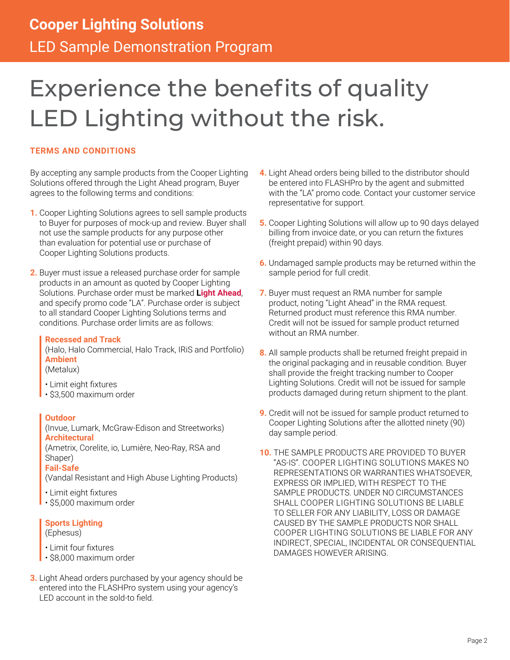### Experience the benefits of quality LED Lighting without the risk.

### **TERMS AND CONDITIONS**

By accepting any sample products from the Cooper Lighting Solutions offered through the Light Ahead program, Buyer agrees to the following terms and conditions:

- **1.** Cooper Lighting Solutions agrees to sell sample products to Buyer for purposes of mock-up and review. Buyer shall not use the sample products for any purpose other than evaluation for potential use or purchase of Cooper Lighting Solutions products.
- **2.** Buyer must issue a released purchase order for sample products in an amount as quoted by Cooper Lighting Solutions. Purchase order must be marked **Light Ahead**, and specify promo code "LA". Purchase order is subject to all standard Cooper Lighting Solutions terms and conditions. Purchase order limits are as follows:

### **Recessed and Track**

(Halo, Halo Commercial, Halo Track, IRiS and Portfolio) **Ambient**

### (Metalux)

- Limit eight fixtures
- \$3,500 maximum order

### **Outdoor**

(Invue, Lumark, McGraw-Edison and Streetworks) **Architectural**

(Ametrix, Corelite, io, Lumière, Neo-Ray, RSA and Shaper)

### **Fail-Safe**

(Vandal Resistant and High Abuse Lighting Products)

- Limit eight fixtures
- \$5,000 maximum order

### **Sports Lighting**

(Ephesus)

- Limit four fixtures
- \$8,000 maximum order
- **3.** Light Ahead orders purchased by your agency should be entered into the FLASHPro system using your agency's LED account in the sold-to field.
- **4.** Light Ahead orders being billed to the distributor should be entered into FLASHPro by the agent and submitted with the "LA" promo code. Contact your customer service representative for support.
- **5.** Cooper Lighting Solutions will allow up to 90 days delayed billing from invoice date, or you can return the fixtures (freight prepaid) within 90 days.
- **6.** Undamaged sample products may be returned within the sample period for full credit.
- **7.** Buyer must request an RMA number for sample product, noting "Light Ahead" in the RMA request. Returned product must reference this RMA number. Credit will not be issued for sample product returned without an RMA number.
- **8.** All sample products shall be returned freight prepaid in the original packaging and in reusable condition. Buyer shall provide the freight tracking number to Cooper Lighting Solutions. Credit will not be issued for sample products damaged during return shipment to the plant.
- **9.** Credit will not be issued for sample product returned to Cooper Lighting Solutions after the allotted ninety (90) day sample period.
- **10.** THE SAMPLE PRODUCTS ARE PROVIDED TO BUYER "AS-IS". COOPER LIGHTING SOLUTIONS MAKES NO REPRESENTATIONS OR WARRANTIES WHATSOEVER, EXPRESS OR IMPLIED, WITH RESPECT TO THE SAMPLE PRODUCTS. UNDER NO CIRCUMSTANCES SHALL COOPER LIGHTING SOLUTIONS BE LIABLE TO SELLER FOR ANY LIABILITY, LOSS OR DAMAGE CAUSED BY THE SAMPLE PRODUCTS NOR SHALL COOPER LIGHTING SOLUTIONS BE LIABLE FOR ANY INDIRECT, SPECIAL, INCIDENTAL OR CONSEQUENTIAL DAMAGES HOWEVER ARISING.